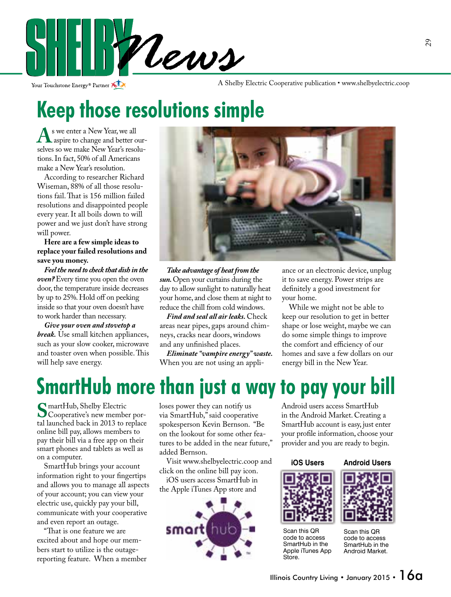

Your Touchstone Energy® Partner

A Shelby Electric Cooperative publication • www.shelbyelectric.coop

# **Keep those resolutions simple**

**A** s we enter a New Year, we all<br>selves so we make New Year's resoluselves so we make New Year's resolutions. In fact, 50% of all Americans make a New Year's resolution.

 According to researcher Richard Wiseman, 88% of all those resolutions fail. That is 156 million failed resolutions and disappointed people every year. It all boils down to will power and we just don't have strong will power.

 **Here are a few simple ideas to replace your failed resolutions and save you money.**

 *Feel the need to check that dish in the oven?* Every time you open the oven door, the temperature inside decreases by up to 25%. Hold off on peeking inside so that your oven doesn't have to work harder than necessary.

 *Give your oven and stovetop a break.* Use small kitchen appliances, such as your slow cooker, microwave and toaster oven when possible. This will help save energy.



 *Take advantage of heat from the sun.* Open your curtains during the day to allow sunlight to naturally heat your home, and close them at night to reduce the chill from cold windows.

*Find and seal all air leaks.* Check areas near pipes, gaps around chimneys, cracks near doors, windows and any unfinished places.

 *Eliminate "vampire energy" waste.*  When you are not using an appli-

ance or an electronic device, unplug it to save energy. Power strips are definitely a good investment for your home.

 While we might not be able to keep our resolution to get in better shape or lose weight, maybe we can do some simple things to improve the comfort and efficiency of our homes and save a few dollars on our energy bill in the New Year.

# **SmartHub more than just a way to pay your bill**

Superative, Shelby Electric<br>
Superative's new member por-<br> **Superation** back in 2013 to replace tal launched back in 2013 to replace online bill pay, allows members to pay their bill via a free app on their smart phones and tablets as well as on a computer.

 SmartHub brings your account information right to your fingertips and allows you to manage all aspects of your account; you can view your electric use, quickly pay your bill, communicate with your cooperative and even report an outage.

"That is one feature we are excited about and hope our members start to utilize is the outagereporting feature. When a member loses power they can notify us via SmartHub," said cooperative spokesperson Kevin Bernson. "Be on the lookout for some other features to be added in the near future," added Bernson.

 Visit www.shelbyelectric.coop and click on the online bill pay icon.

 iOS users access SmartHub in the Apple iTunes App store and



Android users access SmartHub in the Android Market. Creating a SmartHub account is easy, just enter your profile information, choose your provider and you are ready to begin.

#### **iOS Users Android Users**



Scan this QR code to access SmartHub in the Apple iTunes App **Store** 

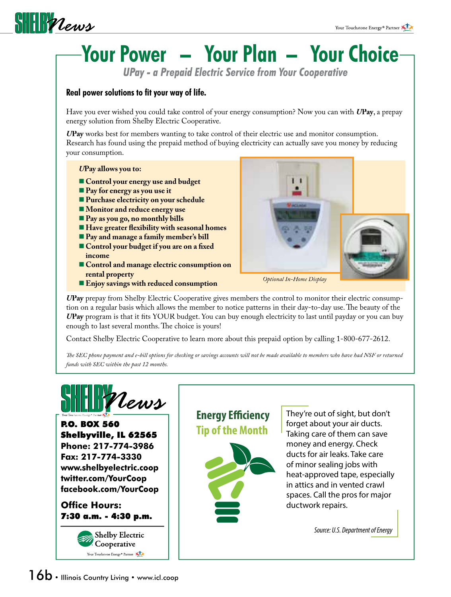

# **Your Power – Your Plan – Your Choice**

 *UPay - a Prepaid Electric Service from Your Cooperative*

### **Real power solutions to fit your way of life.**

Have you ever wished you could take control of your energy consumption? Now you can with *U***Pay**, a prepay energy solution from Shelby Electric Cooperative.

*U***Pay** works best for members wanting to take control of their electric use and monitor consumption. Research has found using the prepaid method of buying electricity can actually save you money by reducing your consumption.

#### *U***Pay allows you to:**

- **Control your energy use and budget**
- **Pay for energy as you use it**
- **Purchase electricity on your schedule**
- **Monitor and reduce energy use**
- **Pay as you go, no monthly bills**
- **Have greater flexibility with seasonal homes**
- **Pay and manage a family member's bill**
- **Control your budget if you are on a fixed income**
- **EXCORDIGHTED CONTROL EXCORDIGHTED AND THE CONSUMPTION ON rental property**
- **Enjoy savings with reduced consumption** *Optional In-Home Display*



*U***Pay** prepay from Shelby Electric Cooperative gives members the control to monitor their electric consumption on a regular basis which allows the member to notice patterns in their day-to-day use. The beauty of the UPay program is that it fits YOUR budget. You can buy enough electricity to last until payday or you can buy enough to last several months. The choice is yours!

Contact Shelby Electric Cooperative to learn more about this prepaid option by calling 1-800-677-2612.

The SEC phone payment and e-bill options for checking or savings accounts will not be made available to members who have had NSF or returned *funds with SEC within the past 12 months.*



P.O. BOX 560 Shelbyville, IL 62565 **Phone: 217-774-3986 Fax: 217-774-3330 www.shelbyelectric.coop twitter.com/YourCoop facebook.com/YourCoop**

**Office Hours:** 7:30 a.m. - 4:30 p.m.



**Energy Efficiency Tip of the Month**



They're out of sight, but don't forget about your air ducts. Taking care of them can save money and energy. Check ducts for air leaks. Take care of minor sealing jobs with heat-approved tape, especially in attics and in vented crawl spaces. Call the pros for major ductwork repairs.

*Source: U.S. Department of Energy*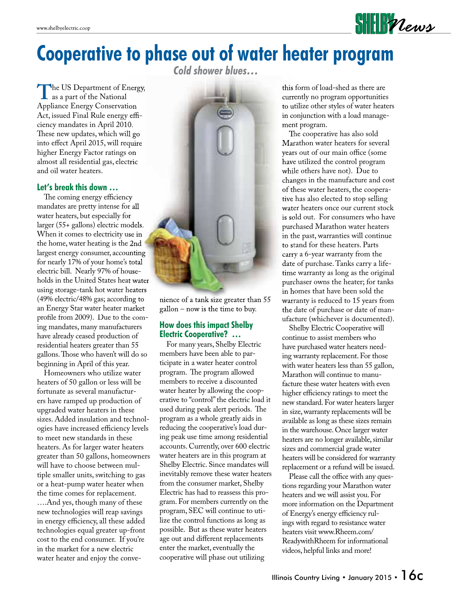

## **Cooperative to phase out of water heater program**

*Cold shower blues…*

The US Department of Energy,<br>
as a part of the National<br>
Appliance Energy Conservation Appliance Energy Conservation Act, issued Final Rule energy efficiency mandates in April 2010. These new updates, which will go into effect April 2015, will require higher Energy Factor ratings on almost all residential gas, electric and oil water heaters.

#### **Let's break this down …**

The coming energy efficiency mandates are pretty intense for all water heaters, but especially for larger (55+ gallons) electric models. When it comes to electricity use in the home, water heating is the 2nd largest energy consumer, accounting for nearly 17% of your home's total electric bill. Nearly 97% of households in the United States heat water using storage-tank hot water heaters (49% electric/48% gas; according to an Energy Star water heater market profile from 2009). Due to the coming mandates, many manufacturers have already ceased production of residential heaters greater than 55 gallons. Those who haven't will do so beginning in April of this year.

 Homeowners who utilize water heaters of 50 gallon or less will be fortunate as several manufacturers have ramped up production of upgraded water heaters in these sizes. Added insulation and technologies have increased efficiency levels to meet new standards in these heaters. As for larger water heaters greater than 50 gallons, homeowners will have to choose between multiple smaller units, switching to gas or a heat-pump water heater when the time comes for replacement.

….And yes, though many of these new technologies will reap savings in energy efficiency, all these added technologies equal greater up-front cost to the end consumer. If you're in the market for a new electric water heater and enjoy the conve-



nience of a tank size greater than 55 gallon – now is the time to buy.

#### **How does this impact Shelby Electric Cooperative? …**

 For many years, Shelby Electric members have been able to participate in a water heater control program. The program allowed members to receive a discounted water heater by allowing the cooperative to "control" the electric load it used during peak alert periods. The program as a whole greatly aids in reducing the cooperative's load during peak use time among residential accounts. Currently, over 600 electric water heaters are in this program at Shelby Electric. Since mandates will inevitably remove these water heaters from the consumer market, Shelby Electric has had to reassess this program. For members currently on the program, SEC will continue to utilize the control functions as long as possible. But as these water heaters age out and different replacements enter the market, eventually the cooperative will phase out utilizing

this form of load-shed as there are currently no program opportunities to utilize other styles of water heaters in conjunction with a load management program.

The cooperative has also sold Marathon water heaters for several years out of our main office (some have utilized the control program while others have not). Due to changes in the manufacture and cost of these water heaters, the cooperative has also elected to stop selling water heaters once our current stock is sold out. For consumers who have purchased Marathon water heaters in the past, warranties will continue to stand for these heaters. Parts carry a 6-year warranty from the date of purchase. Tanks carry a lifetime warranty as long as the original purchaser owns the heater; for tanks in homes that have been sold the warranty is reduced to 15 years from the date of purchase or date of manufacture (whichever is documented).

 Shelby Electric Cooperative will continue to assist members who have purchased water heaters needing warranty replacement. For those with water heaters less than 55 gallon, Marathon will continue to manufacture these water heaters with even higher efficiency ratings to meet the new standard. For water heaters larger in size, warranty replacements will be available as long as these sizes remain in the warehouse. Once larger water heaters are no longer available, similar sizes and commercial grade water heaters will be considered for warranty replacement or a refund will be issued.

Please call the office with any questions regarding your Marathon water heaters and we will assist you. For more information on the Department of Energy's energy efficiency rulings with regard to resistance water heaters visit www.Rheem.com/ ReadywithRheem for informational videos, helpful links and more!